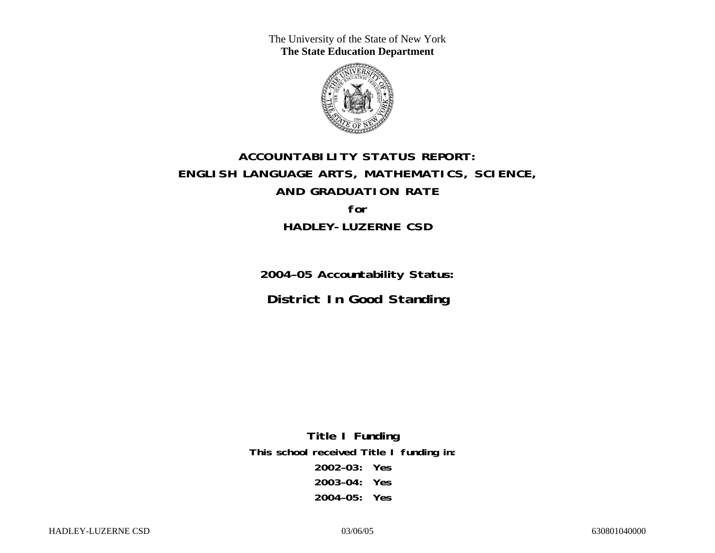The University of the State of New York **The State Education Department** 



# **ACCOUNTABILITY STATUS REPORT: ENGLISH LANGUAGE ARTS, MATHEMATICS, SCIENCE, AND GRADUATION RATE for HADLEY-LUZERNE CSD**

**2004–05 Accountability Status: District In Good Standing** 

**Title I Funding This school received Title I funding in: 2002–03: Yes 2003–04: Yes 2004–05: Yes**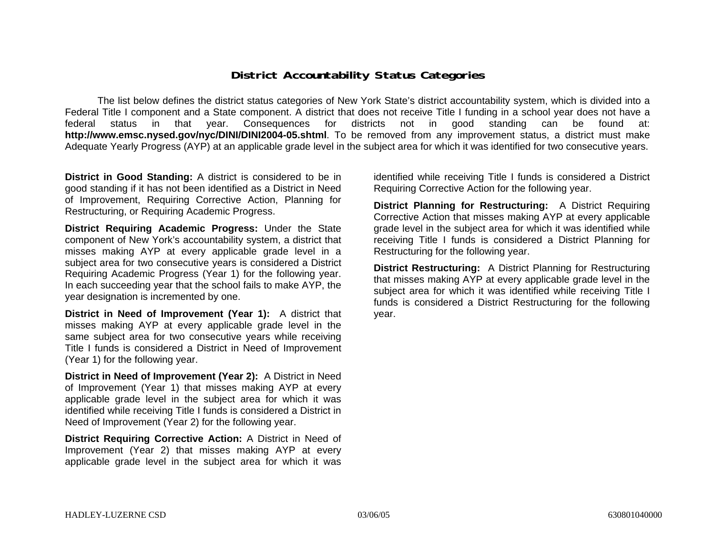### **District Accountability Status Categories**

The list below defines the district status categories of New York State's district accountability system, which is divided into a Federal Title I component and a State component. A district that does not receive Title I funding in a school year does not have a federal status in that year. Consequences for districts not in good standing can be found at: **http://www.emsc.nysed.gov/nyc/DINI/DINI2004-05.shtml**. To be removed from any improvement status, a district must make Adequate Yearly Progress (AYP) at an applicable grade level in the subject area for which it was identified for two consecutive years.

**District in Good Standing:** A district is considered to be in good standing if it has not been identified as a District in Need of Improvement, Requiring Corrective Action, Planning for Restructuring, or Requiring Academic Progress.

**District Requiring Academic Progress:** Under the State component of New York's accountability system, a district that misses making AYP at every applicable grade level in a subject area for two consecutive years is considered a District Requiring Academic Progress (Year 1) for the following year. In each succeeding year that the school fails to make AYP, the year designation is incremented by one.

**District in Need of Improvement (Year 1):** A district that misses making AYP at every applicable grade level in the same subject area for two consecutive years while receiving Title I funds is considered a District in Need of Improvement (Year 1) for the following year.

**District in Need of Improvement (Year 2):** A District in Need of Improvement (Year 1) that misses making AYP at every applicable grade level in the subject area for which it was identified while receiving Title I funds is considered a District in Need of Improvement (Year 2) for the following year.

**District Requiring Corrective Action:** A District in Need of Improvement (Year 2) that misses making AYP at every applicable grade level in the subject area for which it was

identified while receiving Title I funds is considered a District Requiring Corrective Action for the following year.

**District Planning for Restructuring:** A District Requiring Corrective Action that misses making AYP at every applicable grade level in the subject area for which it was identified while receiving Title I funds is considered a District Planning for Restructuring for the following year.

**District Restructuring:** A District Planning for Restructuring that misses making AYP at every applicable grade level in the subject area for which it was identified while receiving Title I funds is considered a District Restructuring for the following year.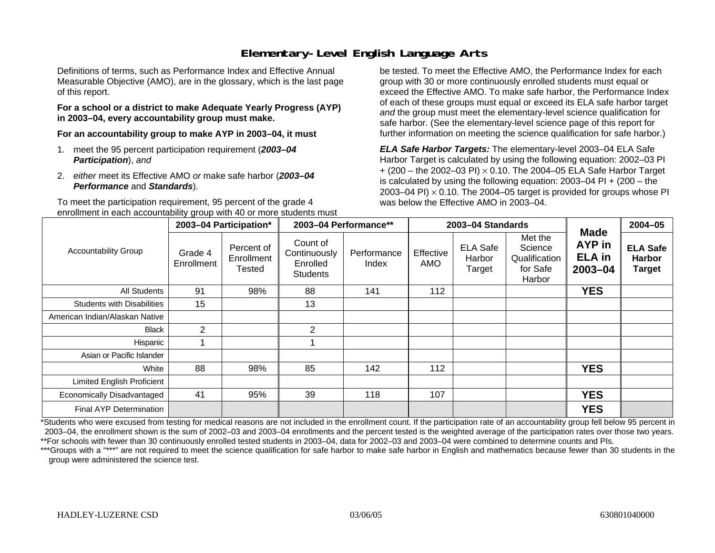## **Elementary-Level English Language Arts**

Definitions of terms, such as Performance Index and Effective Annual Measurable Objective (AMO), are in the glossary, which is the last page of this report.

#### **For a school or a district to make Adequate Yearly Progress (AYP) in 2003–04, every accountability group must make.**

**For an accountability group to make AYP in 2003–04, it must** 

- 1. meet the 95 percent participation requirement (*2003–04 Participation*), *and*
- 2. *either* meet its Effective AMO *or* make safe harbor (*2003–04 Performance* and *Standards*).

To meet the participation requirement, 95 percent of the grade 4 enrollment in each accountability group with 40 or more students must

be tested. To meet the Effective AMO, the Performance Index for each group with 30 or more continuously enrolled students must equal or exceed the Effective AMO. To make safe harbor, the Performance Index of each of these groups must equal or exceed its ELA safe harbor target *and* the group must meet the elementary-level science qualification for safe harbor. (See the elementary-level science page of this report for further information on meeting the science qualification for safe harbor.)

*ELA Safe Harbor Targets:* The elementary-level 2003–04 ELA Safe Harbor Target is calculated by using the following equation: 2002–03 PI + (200 – the 2002–03 PI) <sup>×</sup> 0.10. The 2004–05 ELA Safe Harbor Target is calculated by using the following equation: 2003–04 PI + (200 – the 2003–04 PI)  $\times$  0.10. The 2004–05 target is provided for groups whose PI was below the Effective AMO in 2003–04.

|                                   |                       | 2003-04 Participation*             |                                                         | 2003-04 Performance** |                  | 2003-04 Standards                   |                                                           | <b>Made</b>                                   | 2004-05                                           |
|-----------------------------------|-----------------------|------------------------------------|---------------------------------------------------------|-----------------------|------------------|-------------------------------------|-----------------------------------------------------------|-----------------------------------------------|---------------------------------------------------|
| <b>Accountability Group</b>       | Grade 4<br>Enrollment | Percent of<br>Enrollment<br>Tested | Count of<br>Continuously<br>Enrolled<br><b>Students</b> | Performance<br>Index  | Effective<br>AMO | <b>ELA Safe</b><br>Harbor<br>Target | Met the<br>Science<br>Qualification<br>for Safe<br>Harbor | <b>AYP</b> in<br><b>ELA</b> in<br>$2003 - 04$ | <b>ELA Safe</b><br><b>Harbor</b><br><b>Target</b> |
| All Students                      | 91                    | 98%                                | 88                                                      | 141                   | 112              |                                     |                                                           | <b>YES</b>                                    |                                                   |
| <b>Students with Disabilities</b> | 15                    |                                    | 13                                                      |                       |                  |                                     |                                                           |                                               |                                                   |
| American Indian/Alaskan Native    |                       |                                    |                                                         |                       |                  |                                     |                                                           |                                               |                                                   |
| Black                             | $\overline{2}$        |                                    | $\overline{2}$                                          |                       |                  |                                     |                                                           |                                               |                                                   |
| Hispanic                          |                       |                                    |                                                         |                       |                  |                                     |                                                           |                                               |                                                   |
| Asian or Pacific Islander         |                       |                                    |                                                         |                       |                  |                                     |                                                           |                                               |                                                   |
| White                             | 88                    | 98%                                | 85                                                      | 142                   | 112              |                                     |                                                           | <b>YES</b>                                    |                                                   |
| Limited English Proficient        |                       |                                    |                                                         |                       |                  |                                     |                                                           |                                               |                                                   |
| Economically Disadvantaged        | 41                    | 95%                                | 39                                                      | 118                   | 107              |                                     |                                                           | <b>YES</b>                                    |                                                   |
| <b>Final AYP Determination</b>    |                       |                                    |                                                         |                       |                  |                                     |                                                           | <b>YES</b>                                    |                                                   |

\*Students who were excused from testing for medical reasons are not included in the enrollment count. If the participation rate of an accountability group fell below 95 percent in 2003–04, the enrollment shown is the sum of 2002–03 and 2003–04 enrollments and the percent tested is the weighted average of the participation rates over those two years. \*\*For schools with fewer than 30 continuously enrolled tested students in 2003–04, data for 2002–03 and 2003–04 were combined to determine counts and PIs.

\*\*\*Groups with a "\*\*\*" are not required to meet the science qualification for safe harbor to make safe harbor in English and mathematics because fewer than 30 students in the group were administered the science test.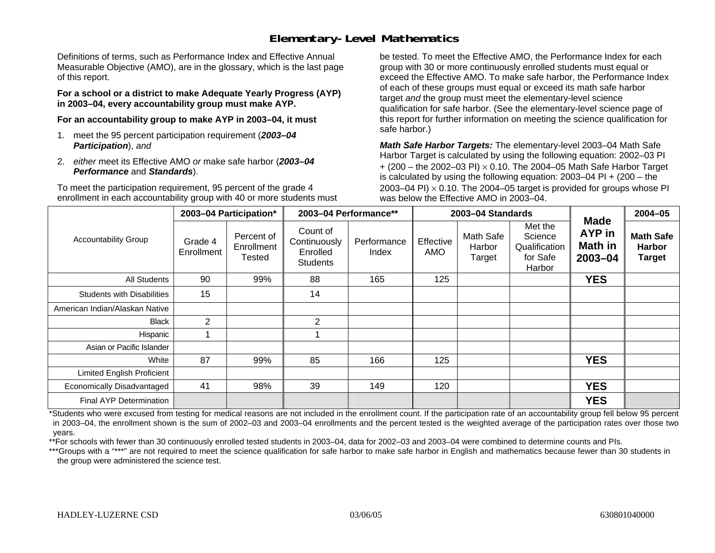### **Elementary-Level Mathematics**

Definitions of terms, such as Performance Index and Effective Annual Measurable Objective (AMO), are in the glossary, which is the last page of this report.

**For a school or a district to make Adequate Yearly Progress (AYP) in 2003–04, every accountability group must make AYP.** 

**For an accountability group to make AYP in 2003–04, it must** 

- 1. meet the 95 percent participation requirement (*2003–04 Participation*), *and*
- 2. *either* meet its Effective AMO *or* make safe harbor (*2003–04 Performance* and *Standards*).

To meet the participation requirement, 95 percent of the grade 4 enrollment in each accountability group with 40 or more students must be tested. To meet the Effective AMO, the Performance Index for each group with 30 or more continuously enrolled students must equal or exceed the Effective AMO. To make safe harbor, the Performance Index of each of these groups must equal or exceed its math safe harbor target *and* the group must meet the elementary-level science qualification for safe harbor. (See the elementary-level science page of this report for further information on meeting the science qualification for safe harbor.)

*Math Safe Harbor Targets:* The elementary-level 2003–04 Math Safe Harbor Target is calculated by using the following equation: 2002–03 PI + (200 – the 2002–03 PI) <sup>×</sup> 0.10. The 2004–05 Math Safe Harbor Target is calculated by using the following equation: 2003–04 PI + (200 – the 2003–04 PI)  $\times$  0.10. The 2004–05 target is provided for groups whose PI was below the Effective AMO in 2003–04.

|                                   |                       | 2003-04 Participation*             |                                                         | 2003-04 Performance** |                  | 2003-04 Standards             |                                                           |                                             | 2004-05                                            |
|-----------------------------------|-----------------------|------------------------------------|---------------------------------------------------------|-----------------------|------------------|-------------------------------|-----------------------------------------------------------|---------------------------------------------|----------------------------------------------------|
| <b>Accountability Group</b>       | Grade 4<br>Enrollment | Percent of<br>Enrollment<br>Tested | Count of<br>Continuously<br>Enrolled<br><b>Students</b> | Performance<br>Index  | Effective<br>AMO | Math Safe<br>Harbor<br>Target | Met the<br>Science<br>Qualification<br>for Safe<br>Harbor | <b>Made</b><br>AYP in<br>Math in<br>2003-04 | <b>Math Safe</b><br><b>Harbor</b><br><b>Target</b> |
| All Students                      | 90                    | 99%                                | 88                                                      | 165                   | 125              |                               |                                                           | <b>YES</b>                                  |                                                    |
| <b>Students with Disabilities</b> | 15                    |                                    | 14                                                      |                       |                  |                               |                                                           |                                             |                                                    |
| American Indian/Alaskan Native    |                       |                                    |                                                         |                       |                  |                               |                                                           |                                             |                                                    |
| <b>Black</b>                      | $\overline{2}$        |                                    | 2                                                       |                       |                  |                               |                                                           |                                             |                                                    |
| Hispanic                          |                       |                                    |                                                         |                       |                  |                               |                                                           |                                             |                                                    |
| Asian or Pacific Islander         |                       |                                    |                                                         |                       |                  |                               |                                                           |                                             |                                                    |
| White                             | 87                    | 99%                                | 85                                                      | 166                   | 125              |                               |                                                           | <b>YES</b>                                  |                                                    |
| <b>Limited English Proficient</b> |                       |                                    |                                                         |                       |                  |                               |                                                           |                                             |                                                    |
| Economically Disadvantaged        | 41                    | 98%                                | 39                                                      | 149                   | 120              |                               |                                                           | <b>YES</b>                                  |                                                    |
| Final AYP Determination           |                       |                                    |                                                         |                       |                  |                               |                                                           | <b>YES</b>                                  |                                                    |

\*Students who were excused from testing for medical reasons are not included in the enrollment count. If the participation rate of an accountability group fell below 95 percent in 2003–04, the enrollment shown is the sum of 2002–03 and 2003–04 enrollments and the percent tested is the weighted average of the participation rates over those two years.

\*\*For schools with fewer than 30 continuously enrolled tested students in 2003–04, data for 2002–03 and 2003–04 were combined to determine counts and PIs.

\*\*\*Groups with a "\*\*\*" are not required to meet the science qualification for safe harbor to make safe harbor in English and mathematics because fewer than 30 students in the group were administered the science test.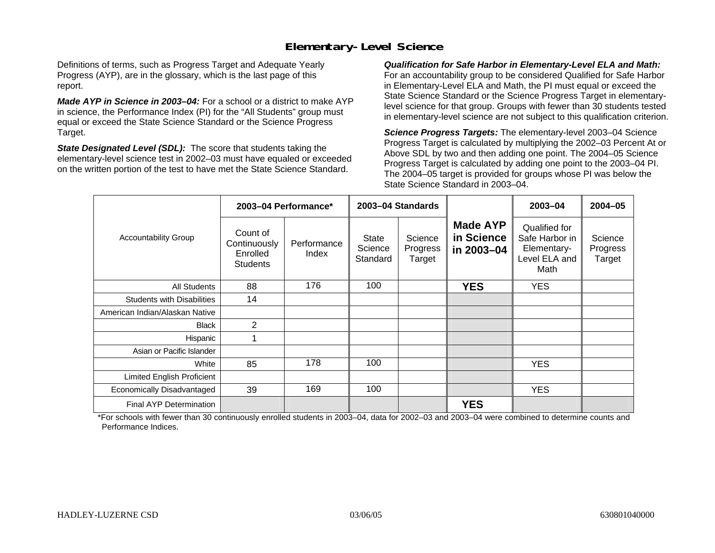### **Elementary-Level Science**

Definitions of terms, such as Progress Target and Adequate Yearly Progress (AYP), are in the glossary, which is the last page of this report.

*Made AYP in Science in 2003–04:* For a school or a district to make AYP in science, the Performance Index (PI) for the "All Students" group must equal or exceed the State Science Standard or the Science Progress Target.

*State Designated Level (SDL):* The score that students taking the elementary-level science test in 2002–03 must have equaled or exceeded on the written portion of the test to have met the State Science Standard.

*Qualification for Safe Harbor in Elementary-Level ELA and Math:* For an accountability group to be considered Qualified for Safe Harbor in Elementary-Level ELA and Math, the PI must equal or exceed the State Science Standard or the Science Progress Target in elementarylevel science for that group. Groups with fewer than 30 students tested in elementary-level science are not subject to this qualification criterion.

*Science Progress Targets:* The elementary-level 2003–04 Science Progress Target is calculated by multiplying the 2002–03 Percent At or Above SDL by two and then adding one point. The 2004–05 Science Progress Target is calculated by adding one point to the 2003–04 PI. The 2004–05 target is provided for groups whose PI was below the State Science Standard in 2003–04.

|                                   |                                                         | 2003-04 Performance* |                                     | 2003-04 Standards             |                                             | $2003 - 04$                                                             | $2004 - 05$                   |
|-----------------------------------|---------------------------------------------------------|----------------------|-------------------------------------|-------------------------------|---------------------------------------------|-------------------------------------------------------------------------|-------------------------------|
| <b>Accountability Group</b>       | Count of<br>Continuously<br>Enrolled<br><b>Students</b> | Performance<br>Index | <b>State</b><br>Science<br>Standard | Science<br>Progress<br>Target | <b>Made AYP</b><br>in Science<br>in 2003-04 | Qualified for<br>Safe Harbor in<br>Elementary-<br>Level ELA and<br>Math | Science<br>Progress<br>Target |
| All Students                      | 88                                                      | 176                  | 100                                 |                               | <b>YES</b>                                  | <b>YES</b>                                                              |                               |
| <b>Students with Disabilities</b> | 14                                                      |                      |                                     |                               |                                             |                                                                         |                               |
| American Indian/Alaskan Native    |                                                         |                      |                                     |                               |                                             |                                                                         |                               |
| <b>Black</b>                      | 2                                                       |                      |                                     |                               |                                             |                                                                         |                               |
| Hispanic                          |                                                         |                      |                                     |                               |                                             |                                                                         |                               |
| Asian or Pacific Islander         |                                                         |                      |                                     |                               |                                             |                                                                         |                               |
| White                             | 85                                                      | 178                  | 100                                 |                               |                                             | <b>YES</b>                                                              |                               |
| Limited English Proficient        |                                                         |                      |                                     |                               |                                             |                                                                         |                               |
| Economically Disadvantaged        | 39                                                      | 169                  | 100                                 |                               |                                             | <b>YES</b>                                                              |                               |
| <b>Final AYP Determination</b>    |                                                         |                      |                                     |                               | <b>YES</b>                                  |                                                                         |                               |

\*For schools with fewer than 30 continuously enrolled students in 2003–04, data for 2002–03 and 2003–04 were combined to determine counts and Performance Indices.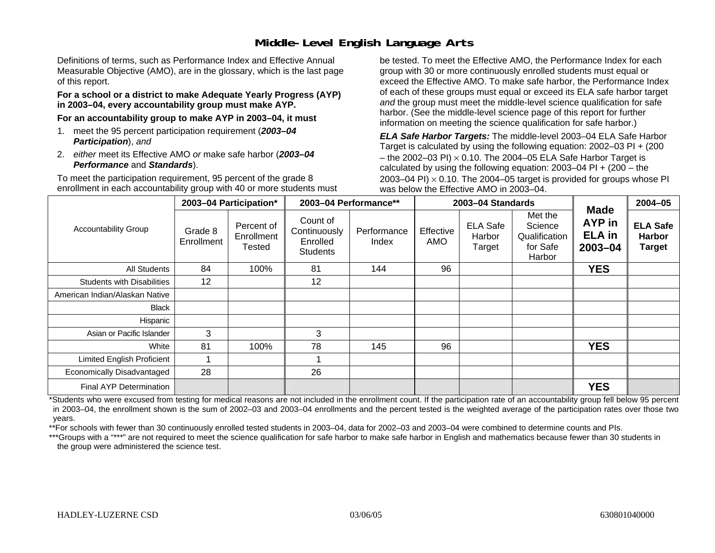## **Middle-Level English Language Arts**

Definitions of terms, such as Performance Index and Effective Annual Measurable Objective (AMO), are in the glossary, which is the last page of this report.

#### **For a school or a district to make Adequate Yearly Progress (AYP) in 2003–04, every accountability group must make AYP.**

**For an accountability group to make AYP in 2003–04, it must** 

- 1. meet the 95 percent participation requirement (*2003–04 Participation*), *and*
- 2. *either* meet its Effective AMO *or* make safe harbor (*2003–04 Performance* and *Standards*).

To meet the participation requirement, 95 percent of the grade 8 enrollment in each accountability group with 40 or more students must be tested. To meet the Effective AMO, the Performance Index for each group with 30 or more continuously enrolled students must equal or exceed the Effective AMO. To make safe harbor, the Performance Index of each of these groups must equal or exceed its ELA safe harbor target *and* the group must meet the middle-level science qualification for safe harbor. (See the middle-level science page of this report for further information on meeting the science qualification for safe harbor.)

*ELA Safe Harbor Targets:* The middle-level 2003–04 ELA Safe Harbor Target is calculated by using the following equation: 2002–03 PI + (200 – the 2002–03 PI)  $\times$  0.10. The 2004–05 ELA Safe Harbor Target is calculated by using the following equation:  $2003-04$  PI +  $(200 -$ the 2003–04 PI)  $\times$  0.10. The 2004–05 target is provided for groups whose PI was below the Effective AMO in 2003–04.

|                                   |                       | 2003-04 Participation*             |                                                         | 2003-04 Performance** |                  | 2003-04 Standards                   |                                                           | <b>Made</b>                                   | $2004 - 05$                                       |
|-----------------------------------|-----------------------|------------------------------------|---------------------------------------------------------|-----------------------|------------------|-------------------------------------|-----------------------------------------------------------|-----------------------------------------------|---------------------------------------------------|
| <b>Accountability Group</b>       | Grade 8<br>Enrollment | Percent of<br>Enrollment<br>Tested | Count of<br>Continuously<br>Enrolled<br><b>Students</b> | Performance<br>Index  | Effective<br>AMO | <b>ELA Safe</b><br>Harbor<br>Target | Met the<br>Science<br>Qualification<br>for Safe<br>Harbor | <b>AYP</b> in<br><b>ELA</b> in<br>$2003 - 04$ | <b>ELA Safe</b><br><b>Harbor</b><br><b>Target</b> |
| <b>All Students</b>               | 84                    | 100%                               | 81                                                      | 144                   | 96               |                                     |                                                           | <b>YES</b>                                    |                                                   |
| <b>Students with Disabilities</b> | 12                    |                                    | 12                                                      |                       |                  |                                     |                                                           |                                               |                                                   |
| American Indian/Alaskan Native    |                       |                                    |                                                         |                       |                  |                                     |                                                           |                                               |                                                   |
| <b>Black</b>                      |                       |                                    |                                                         |                       |                  |                                     |                                                           |                                               |                                                   |
| Hispanic                          |                       |                                    |                                                         |                       |                  |                                     |                                                           |                                               |                                                   |
| Asian or Pacific Islander         | 3                     |                                    | 3                                                       |                       |                  |                                     |                                                           |                                               |                                                   |
| White                             | 81                    | 100%                               | 78                                                      | 145                   | 96               |                                     |                                                           | <b>YES</b>                                    |                                                   |
| Limited English Proficient        |                       |                                    |                                                         |                       |                  |                                     |                                                           |                                               |                                                   |
| Economically Disadvantaged        | 28                    |                                    | 26                                                      |                       |                  |                                     |                                                           |                                               |                                                   |
| Final AYP Determination           |                       |                                    |                                                         |                       |                  |                                     |                                                           | <b>YES</b>                                    |                                                   |

\*Students who were excused from testing for medical reasons are not included in the enrollment count. If the participation rate of an accountability group fell below 95 percent in 2003–04, the enrollment shown is the sum of 2002–03 and 2003–04 enrollments and the percent tested is the weighted average of the participation rates over those two years.

\*\*For schools with fewer than 30 continuously enrolled tested students in 2003–04, data for 2002–03 and 2003–04 were combined to determine counts and PIs.

\*\*\*Groups with a "\*\*\*" are not required to meet the science qualification for safe harbor to make safe harbor in English and mathematics because fewer than 30 students in the group were administered the science test.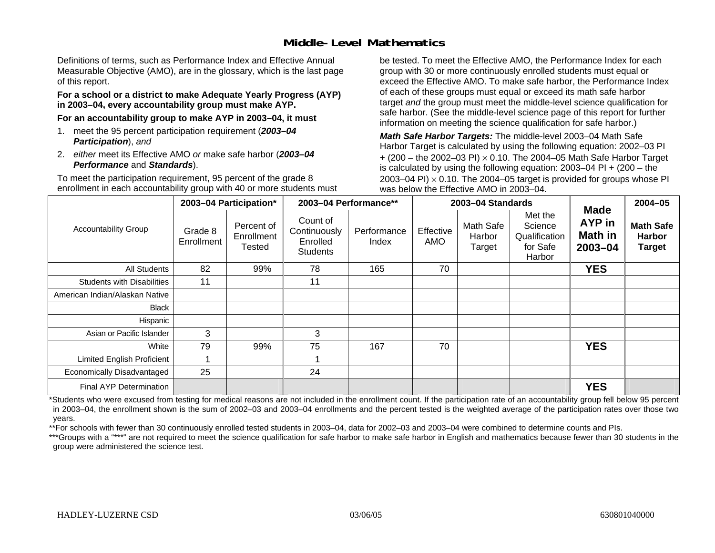## **Middle-Level Mathematics**

Definitions of terms, such as Performance Index and Effective Annual Measurable Objective (AMO), are in the glossary, which is the last page of this report.

#### **For a school or a district to make Adequate Yearly Progress (AYP) in 2003–04, every accountability group must make AYP.**

**For an accountability group to make AYP in 2003–04, it must** 

- 1. meet the 95 percent participation requirement (*2003–04 Participation*), *and*
- 2. *either* meet its Effective AMO *or* make safe harbor (*2003–04 Performance* and *Standards*).

To meet the participation requirement, 95 percent of the grade 8 enrollment in each accountability group with 40 or more students must be tested. To meet the Effective AMO, the Performance Index for each group with 30 or more continuously enrolled students must equal or exceed the Effective AMO. To make safe harbor, the Performance Index of each of these groups must equal or exceed its math safe harbor target *and* the group must meet the middle-level science qualification for safe harbor. (See the middle-level science page of this report for further information on meeting the science qualification for safe harbor.)

*Math Safe Harbor Targets:* The middle-level 2003–04 Math Safe Harbor Target is calculated by using the following equation: 2002–03 PI + (200 – the 2002–03 PI) <sup>×</sup> 0.10. The 2004–05 Math Safe Harbor Target is calculated by using the following equation: 2003–04 PI + (200 – the 2003–04 PI)  $\times$  0.10. The 2004–05 target is provided for groups whose PI was below the Effective AMO in 2003–04.

|                                   |                       | 2003-04 Participation*             | 2003-04 Performance**                                   |                      |                  | 2003-04 Standards             |                                                           |                                                               | $2004 - 05$                                        |
|-----------------------------------|-----------------------|------------------------------------|---------------------------------------------------------|----------------------|------------------|-------------------------------|-----------------------------------------------------------|---------------------------------------------------------------|----------------------------------------------------|
| <b>Accountability Group</b>       | Grade 8<br>Enrollment | Percent of<br>Enrollment<br>Tested | Count of<br>Continuously<br>Enrolled<br><b>Students</b> | Performance<br>Index | Effective<br>AMO | Math Safe<br>Harbor<br>Target | Met the<br>Science<br>Qualification<br>for Safe<br>Harbor | <b>Made</b><br><b>AYP</b> in<br><b>Math in</b><br>$2003 - 04$ | <b>Math Safe</b><br><b>Harbor</b><br><b>Target</b> |
| All Students                      | 82                    | 99%                                | 78                                                      | 165                  | 70               |                               |                                                           | <b>YES</b>                                                    |                                                    |
| <b>Students with Disabilities</b> | 11                    |                                    | 11                                                      |                      |                  |                               |                                                           |                                                               |                                                    |
| American Indian/Alaskan Native    |                       |                                    |                                                         |                      |                  |                               |                                                           |                                                               |                                                    |
| <b>Black</b>                      |                       |                                    |                                                         |                      |                  |                               |                                                           |                                                               |                                                    |
| Hispanic                          |                       |                                    |                                                         |                      |                  |                               |                                                           |                                                               |                                                    |
| Asian or Pacific Islander         | 3                     |                                    | 3                                                       |                      |                  |                               |                                                           |                                                               |                                                    |
| White                             | 79                    | 99%                                | 75                                                      | 167                  | 70               |                               |                                                           | <b>YES</b>                                                    |                                                    |
| <b>Limited English Proficient</b> |                       |                                    |                                                         |                      |                  |                               |                                                           |                                                               |                                                    |
| Economically Disadvantaged        | 25                    |                                    | 24                                                      |                      |                  |                               |                                                           |                                                               |                                                    |
| <b>Final AYP Determination</b>    |                       |                                    |                                                         |                      |                  |                               |                                                           | <b>YES</b>                                                    |                                                    |

\*Students who were excused from testing for medical reasons are not included in the enrollment count. If the participation rate of an accountability group fell below 95 percent in 2003–04, the enrollment shown is the sum of 2002–03 and 2003–04 enrollments and the percent tested is the weighted average of the participation rates over those two years.

\*\*For schools with fewer than 30 continuously enrolled tested students in 2003–04, data for 2002–03 and 2003–04 were combined to determine counts and PIs.

\*\*\*Groups with a "\*\*\*" are not required to meet the science qualification for safe harbor to make safe harbor in English and mathematics because fewer than 30 students in the group were administered the science test.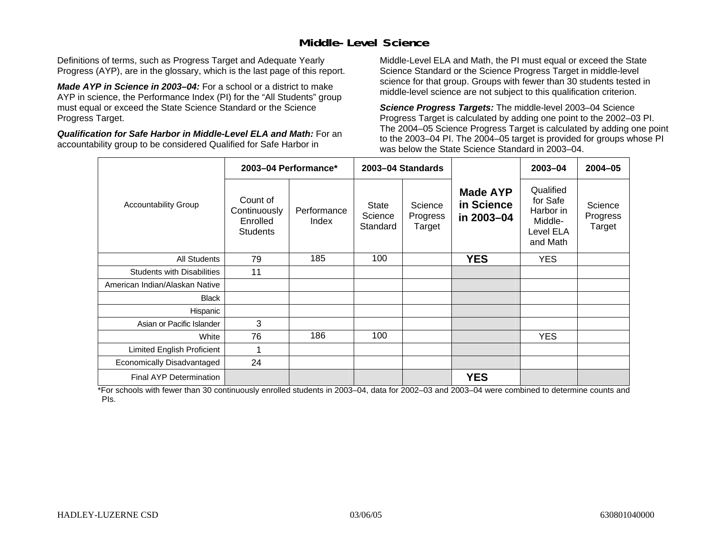### **Middle-Level Science**

Definitions of terms, such as Progress Target and Adequate Yearly Progress (AYP), are in the glossary, which is the last page of this report.

*Made AYP in Science in 2003–04:* For a school or a district to make AYP in science, the Performance Index (PI) for the "All Students" group must equal or exceed the State Science Standard or the Science Progress Target.

*Qualification for Safe Harbor in Middle-Level ELA and Math:* For an accountability group to be considered Qualified for Safe Harbor in

Middle-Level ELA and Math, the PI must equal or exceed the State Science Standard or the Science Progress Target in middle-level science for that group. Groups with fewer than 30 students tested in middle-level science are not subject to this qualification criterion.

*Science Progress Targets:* The middle-level 2003–04 Science Progress Target is calculated by adding one point to the 2002–03 PI. The 2004–05 Science Progress Target is calculated by adding one point to the 2003–04 PI. The 2004–05 target is provided for groups whose PI was below the State Science Standard in 2003–04.

|                                   |                                                         | 2003-04 Performance* |                              | 2003-04 Standards             |                                             | 2003-04                                                                | $2004 - 05$                   |
|-----------------------------------|---------------------------------------------------------|----------------------|------------------------------|-------------------------------|---------------------------------------------|------------------------------------------------------------------------|-------------------------------|
| <b>Accountability Group</b>       | Count of<br>Continuously<br>Enrolled<br><b>Students</b> | Performance<br>Index | State<br>Science<br>Standard | Science<br>Progress<br>Target | <b>Made AYP</b><br>in Science<br>in 2003-04 | Qualified<br>for Safe<br>Harbor in<br>Middle-<br>Level ELA<br>and Math | Science<br>Progress<br>Target |
| <b>All Students</b>               | 79                                                      | 185                  | 100                          |                               | <b>YES</b>                                  | <b>YES</b>                                                             |                               |
| <b>Students with Disabilities</b> | 11                                                      |                      |                              |                               |                                             |                                                                        |                               |
| American Indian/Alaskan Native    |                                                         |                      |                              |                               |                                             |                                                                        |                               |
| <b>Black</b>                      |                                                         |                      |                              |                               |                                             |                                                                        |                               |
| Hispanic                          |                                                         |                      |                              |                               |                                             |                                                                        |                               |
| Asian or Pacific Islander         | 3                                                       |                      |                              |                               |                                             |                                                                        |                               |
| White                             | 76                                                      | 186                  | 100                          |                               |                                             | <b>YES</b>                                                             |                               |
| Limited English Proficient        | 1                                                       |                      |                              |                               |                                             |                                                                        |                               |
| Economically Disadvantaged        | 24                                                      |                      |                              |                               |                                             |                                                                        |                               |
| Final AYP Determination           |                                                         |                      |                              |                               | <b>YES</b>                                  |                                                                        |                               |

\*For schools with fewer than 30 continuously enrolled students in 2003–04, data for 2002–03 and 2003–04 were combined to determine counts and PIs.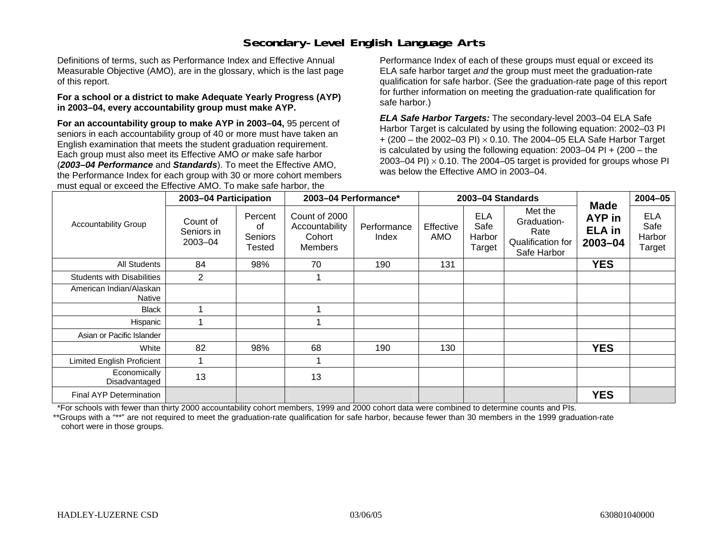## **Secondary-Level English Language Arts**

Definitions of terms, such as Performance Index and Effective Annual Measurable Objective (AMO), are in the glossary, which is the last page of this report.

#### **For a school or a district to make Adequate Yearly Progress (AYP) in 2003–04, every accountability group must make AYP.**

**For an accountability group to make AYP in 2003–04,** 95 percent of seniors in each accountability group of 40 or more must have taken an English examination that meets the student graduation requirement. Each group must also meet its Effective AMO *or* make safe harbor (*2003–04 Performance* and *Standards*). To meet the Effective AMO, the Performance Index for each group with 30 or more cohort members must equal or exceed the Effective AMO. To make safe harbor, the

Performance Index of each of these groups must equal or exceed its ELA safe harbor target *and* the group must meet the graduation-rate qualification for safe harbor. (See the graduation-rate page of this report for further information on meeting the graduation-rate qualification for safe harbor.)

*ELA Safe Harbor Targets:* The secondary-level 2003–04 ELA Safe Harbor Target is calculated by using the following equation: 2002–03 PI + (200 – the 2002–03 PI) <sup>×</sup> 0.10. The 2004–05 ELA Safe Harbor Target is calculated by using the following equation: 2003–04 PI + (200 – the 2003–04 PI)  $\times$  0.10. The 2004–05 target is provided for groups whose PI was below the Effective AMO in 2003–04.

|                                   | 2003-04 Participation             |                                           | 2003-04 Performance*                                        |                      |                  | 2003-04 Standards                      |                                                                    |                                                   | $2004 - 05$                            |
|-----------------------------------|-----------------------------------|-------------------------------------------|-------------------------------------------------------------|----------------------|------------------|----------------------------------------|--------------------------------------------------------------------|---------------------------------------------------|----------------------------------------|
| <b>Accountability Group</b>       | Count of<br>Seniors in<br>2003-04 | Percent<br>οf<br><b>Seniors</b><br>Tested | Count of 2000<br>Accountability<br>Cohort<br><b>Members</b> | Performance<br>Index | Effective<br>AMO | <b>ELA</b><br>Safe<br>Harbor<br>Target | Met the<br>Graduation-<br>Rate<br>Qualification for<br>Safe Harbor | <b>Made</b><br>AYP in<br><b>ELA</b> in<br>2003-04 | <b>ELA</b><br>Safe<br>Harbor<br>Target |
| All Students                      | 84                                | 98%                                       | 70                                                          | 190                  | 131              |                                        |                                                                    | <b>YES</b>                                        |                                        |
| <b>Students with Disabilities</b> | $\overline{2}$                    |                                           |                                                             |                      |                  |                                        |                                                                    |                                                   |                                        |
| American Indian/Alaskan<br>Native |                                   |                                           |                                                             |                      |                  |                                        |                                                                    |                                                   |                                        |
| <b>Black</b>                      |                                   |                                           |                                                             |                      |                  |                                        |                                                                    |                                                   |                                        |
| Hispanic                          |                                   |                                           |                                                             |                      |                  |                                        |                                                                    |                                                   |                                        |
| Asian or Pacific Islander         |                                   |                                           |                                                             |                      |                  |                                        |                                                                    |                                                   |                                        |
| White                             | 82                                | 98%                                       | 68                                                          | 190                  | 130              |                                        |                                                                    | <b>YES</b>                                        |                                        |
| <b>Limited English Proficient</b> |                                   |                                           |                                                             |                      |                  |                                        |                                                                    |                                                   |                                        |
| Economically<br>Disadvantaged     | 13                                |                                           | 13                                                          |                      |                  |                                        |                                                                    |                                                   |                                        |
| Final AYP Determination           |                                   |                                           |                                                             |                      |                  |                                        |                                                                    | <b>YES</b>                                        |                                        |

\*For schools with fewer than thirty 2000 accountability cohort members, 1999 and 2000 cohort data were combined to determine counts and PIs.

\*\*Groups with a "\*\*" are not required to meet the graduation-rate qualification for safe harbor, because fewer than 30 members in the 1999 graduation-rate cohort were in those groups.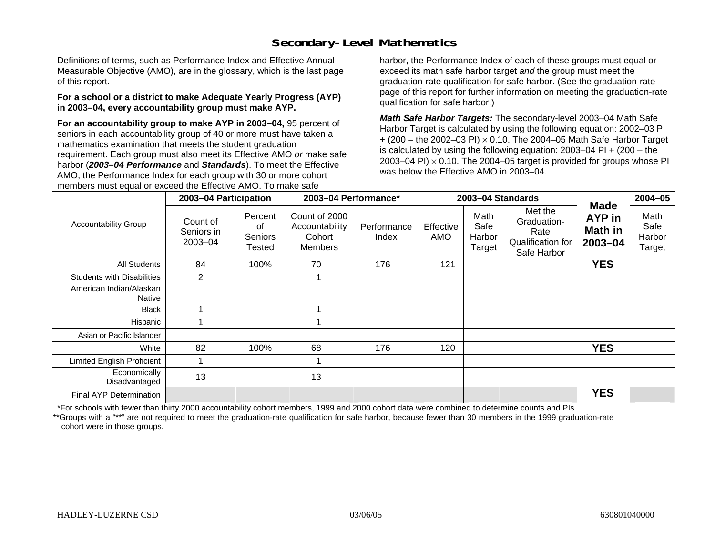## **Secondary-Level Mathematics**

Definitions of terms, such as Performance Index and Effective Annual Measurable Objective (AMO), are in the glossary, which is the last page of this report.

#### **For a school or a district to make Adequate Yearly Progress (AYP) in 2003–04, every accountability group must make AYP.**

**For an accountability group to make AYP in 2003–04,** 95 percent of seniors in each accountability group of 40 or more must have taken a mathematics examination that meets the student graduation requirement. Each group must also meet its Effective AMO *or* make safe harbor (*2003–04 Performance* and *Standards*). To meet the Effective AMO, the Performance Index for each group with 30 or more cohort members must equal or exceed the Effective AMO. To make safe

harbor, the Performance Index of each of these groups must equal or exceed its math safe harbor target *and* the group must meet the graduation-rate qualification for safe harbor. (See the graduation-rate page of this report for further information on meeting the graduation-rate qualification for safe harbor.)

*Math Safe Harbor Targets:* The secondary-level 2003–04 Math Safe Harbor Target is calculated by using the following equation: 2002–03 PI + (200 – the 2002–03 PI) <sup>×</sup> 0.10. The 2004–05 Math Safe Harbor Target is calculated by using the following equation: 2003–04 PI + (200 – the 2003–04 PI)  $\times$  0.10. The 2004–05 target is provided for groups whose PI was below the Effective AMO in 2003–04.

|                                   | 2003-04 Participation             |                                    | 2003-04 Performance*                                        |                      |                  | 2003-04 Standards                |                                                                    |                                                 | $2004 - 05$                      |
|-----------------------------------|-----------------------------------|------------------------------------|-------------------------------------------------------------|----------------------|------------------|----------------------------------|--------------------------------------------------------------------|-------------------------------------------------|----------------------------------|
| <b>Accountability Group</b>       | Count of<br>Seniors in<br>2003-04 | Percent<br>οf<br>Seniors<br>Tested | Count of 2000<br>Accountability<br>Cohort<br><b>Members</b> | Performance<br>Index | Effective<br>AMO | Math<br>Safe<br>Harbor<br>Target | Met the<br>Graduation-<br>Rate<br>Qualification for<br>Safe Harbor | <b>Made</b><br>AYP in<br>Math in<br>$2003 - 04$ | Math<br>Safe<br>Harbor<br>Target |
| <b>All Students</b>               | 84                                | 100%                               | 70                                                          | 176                  | 121              |                                  |                                                                    | <b>YES</b>                                      |                                  |
| <b>Students with Disabilities</b> | $\overline{2}$                    |                                    |                                                             |                      |                  |                                  |                                                                    |                                                 |                                  |
| American Indian/Alaskan<br>Native |                                   |                                    |                                                             |                      |                  |                                  |                                                                    |                                                 |                                  |
| <b>Black</b>                      |                                   |                                    |                                                             |                      |                  |                                  |                                                                    |                                                 |                                  |
| Hispanic                          |                                   |                                    |                                                             |                      |                  |                                  |                                                                    |                                                 |                                  |
| Asian or Pacific Islander         |                                   |                                    |                                                             |                      |                  |                                  |                                                                    |                                                 |                                  |
| White                             | 82                                | 100%                               | 68                                                          | 176                  | 120              |                                  |                                                                    | <b>YES</b>                                      |                                  |
| Limited English Proficient        |                                   |                                    |                                                             |                      |                  |                                  |                                                                    |                                                 |                                  |
| Economically<br>Disadvantaged     | 13                                |                                    | 13                                                          |                      |                  |                                  |                                                                    |                                                 |                                  |
| Final AYP Determination           |                                   |                                    |                                                             |                      |                  |                                  |                                                                    | <b>YES</b>                                      |                                  |

\*For schools with fewer than thirty 2000 accountability cohort members, 1999 and 2000 cohort data were combined to determine counts and PIs.

\*\*Groups with a "\*\*" are not required to meet the graduation-rate qualification for safe harbor, because fewer than 30 members in the 1999 graduation-rate cohort were in those groups.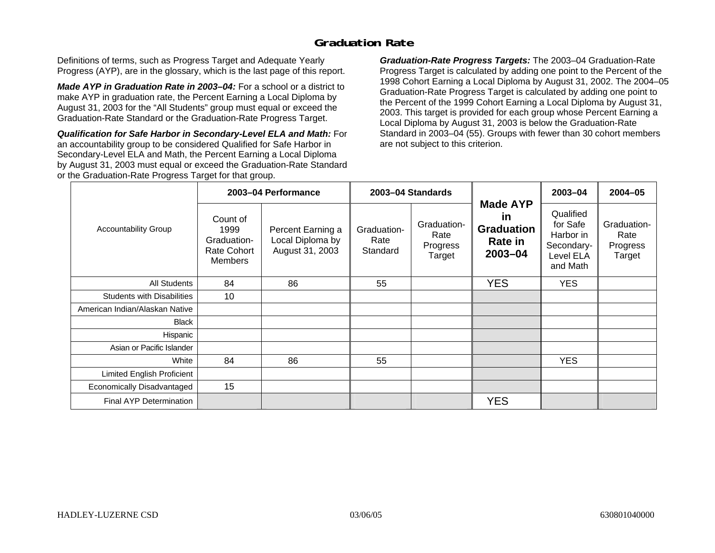### **Graduation Rate**

Definitions of terms, such as Progress Target and Adequate Yearly Progress (AYP), are in the glossary, which is the last page of this report.

*Made AYP in Graduation Rate in 2003–04:* For a school or a district to make AYP in graduation rate, the Percent Earning a Local Diploma by August 31, 2003 for the "All Students" group must equal or exceed the Graduation-Rate Standard or the Graduation-Rate Progress Target.

*Qualification for Safe Harbor in Secondary-Level ELA and Math:* For an accountability group to be considered Qualified for Safe Harbor in Secondary-Level ELA and Math, the Percent Earning a Local Diploma by August 31, 2003 must equal or exceed the Graduation-Rate Standard or the Graduation-Rate Progress Target for that group.

*Graduation-Rate Progress Targets:* The 2003–04 Graduation-Rate Progress Target is calculated by adding one point to the Percent of the 1998 Cohort Earning a Local Diploma by August 31, 2002. The 2004–05 Graduation-Rate Progress Target is calculated by adding one point to the Percent of the 1999 Cohort Earning a Local Diploma by August 31, 2003. This target is provided for each group whose Percent Earning a Local Diploma by August 31, 2003 is below the Graduation-Rate Standard in 2003–04 (55). Groups with fewer than 30 cohort members are not subject to this criterion.

|                                   |                                                                  | 2003-04 Performance                                      |                                 | 2003-04 Standards                         |                                                                         | 2003-04                                                                   | $2004 - 05$                               |
|-----------------------------------|------------------------------------------------------------------|----------------------------------------------------------|---------------------------------|-------------------------------------------|-------------------------------------------------------------------------|---------------------------------------------------------------------------|-------------------------------------------|
| <b>Accountability Group</b>       | Count of<br>1999<br>Graduation-<br>Rate Cohort<br><b>Members</b> | Percent Earning a<br>Local Diploma by<br>August 31, 2003 | Graduation-<br>Rate<br>Standard | Graduation-<br>Rate<br>Progress<br>Target | <b>Made AYP</b><br><u>in</u><br><b>Graduation</b><br>Rate in<br>2003-04 | Qualified<br>for Safe<br>Harbor in<br>Secondary-<br>Level ELA<br>and Math | Graduation-<br>Rate<br>Progress<br>Target |
| All Students                      | 84                                                               | 86                                                       | 55                              |                                           | <b>YES</b>                                                              | <b>YES</b>                                                                |                                           |
| <b>Students with Disabilities</b> | 10                                                               |                                                          |                                 |                                           |                                                                         |                                                                           |                                           |
| American Indian/Alaskan Native    |                                                                  |                                                          |                                 |                                           |                                                                         |                                                                           |                                           |
| <b>Black</b>                      |                                                                  |                                                          |                                 |                                           |                                                                         |                                                                           |                                           |
| Hispanic                          |                                                                  |                                                          |                                 |                                           |                                                                         |                                                                           |                                           |
| Asian or Pacific Islander         |                                                                  |                                                          |                                 |                                           |                                                                         |                                                                           |                                           |
| White                             | 84                                                               | 86                                                       | 55                              |                                           |                                                                         | <b>YES</b>                                                                |                                           |
| Limited English Proficient        |                                                                  |                                                          |                                 |                                           |                                                                         |                                                                           |                                           |
| Economically Disadvantaged        | 15                                                               |                                                          |                                 |                                           |                                                                         |                                                                           |                                           |
| <b>Final AYP Determination</b>    |                                                                  |                                                          |                                 |                                           | <b>YES</b>                                                              |                                                                           |                                           |